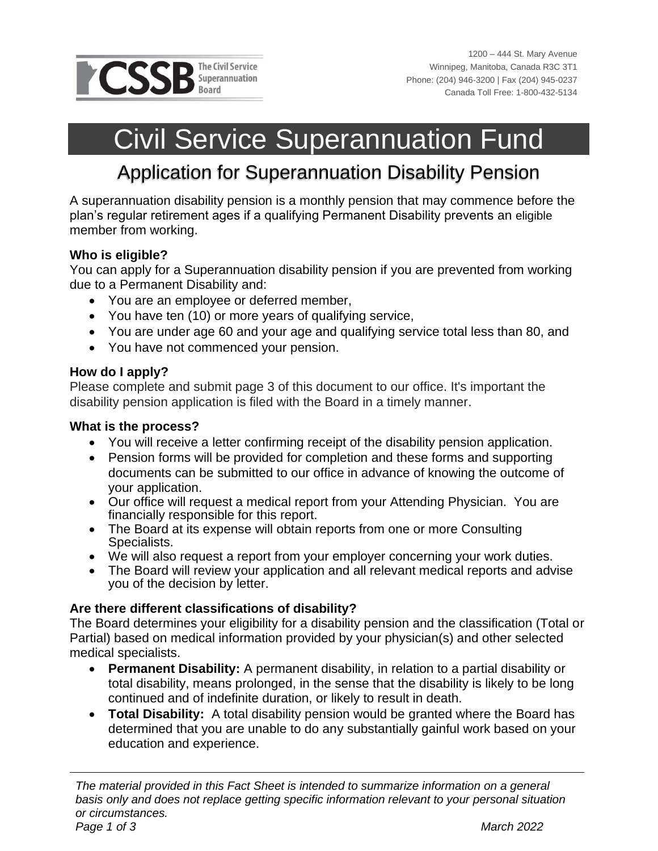

# Civil Service Superannuation Fund

# Application for Superannuation Disability Pension

A superannuation disability pension is a monthly pension that may commence before the plan's regular retirement ages if a qualifying Permanent Disability prevents an eligible member from working.

### **Who is eligible?**

You can apply for a Superannuation disability pension if you are prevented from working due to a Permanent Disability and:

- You are an employee or deferred member,
- You have ten (10) or more years of qualifying service,
- You are under age 60 and your age and qualifying service total less than 80, and
- You have not commenced your pension.

### **How do I apply?**

Please complete and submit page 3 of this document to our office. It's important the disability pension application is filed with the Board in a timely manner.

### **What is the process?**

- You will receive a letter confirming receipt of the disability pension application.
- Pension forms will be provided for completion and these forms and supporting documents can be submitted to our office in advance of knowing the outcome of your application.
- Our office will request a medical report from your Attending Physician. You are financially responsible for this report.
- The Board at its expense will obtain reports from one or more Consulting Specialists.
- We will also request a report from your employer concerning your work duties.
- The Board will review your application and all relevant medical reports and advise you of the decision by letter.

### **Are there different classifications of disability?**

The Board determines your eligibility for a disability pension and the classification (Total or Partial) based on medical information provided by your physician(s) and other selected medical specialists.

- **Permanent Disability:** A permanent disability, in relation to a partial disability or total disability, means prolonged, in the sense that the disability is likely to be long continued and of indefinite duration, or likely to result in death.
- **Total Disability:** A total disability pension would be granted where the Board has determined that you are unable to do any substantially gainful work based on your education and experience.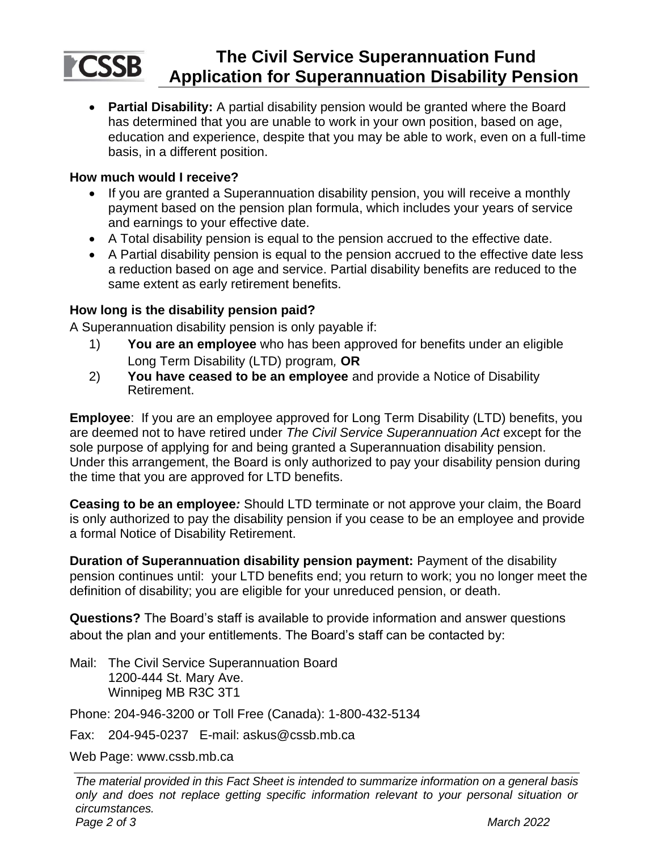# **PCSSB**

### **The Civil Service Superannuation Fund Application for Superannuation Disability Pension**

• **Partial Disability:** A partial disability pension would be granted where the Board has determined that you are unable to work in your own position, based on age, education and experience, despite that you may be able to work, even on a full-time basis, in a different position.

### **How much would I receive?**

- If you are granted a Superannuation disability pension, you will receive a monthly payment based on the pension plan formula, which includes your years of service and earnings to your effective date.
- A Total disability pension is equal to the pension accrued to the effective date.
- A Partial disability pension is equal to the pension accrued to the effective date less a reduction based on age and service. Partial disability benefits are reduced to the same extent as early retirement benefits.

### **How long is the disability pension paid?**

A Superannuation disability pension is only payable if:

- 1) **You are an employee** who has been approved for benefits under an eligible Long Term Disability (LTD) program*,* **OR**
- 2) **You have ceased to be an employee** and provide a Notice of Disability Retirement.

**Employee**: If you are an employee approved for Long Term Disability (LTD) benefits, you are deemed not to have retired under *The Civil Service Superannuation Act* except for the sole purpose of applying for and being granted a Superannuation disability pension. Under this arrangement, the Board is only authorized to pay your disability pension during the time that you are approved for LTD benefits.

**Ceasing to be an employee***:* Should LTD terminate or not approve your claim, the Board is only authorized to pay the disability pension if you cease to be an employee and provide a formal Notice of Disability Retirement.

**Duration of Superannuation disability pension payment:** Payment of the disability pension continues until: your LTD benefits end; you return to work; you no longer meet the definition of disability; you are eligible for your unreduced pension, or death.

**Questions?** The Board's staff is available to provide information and answer questions about the plan and your entitlements. The Board's staff can be contacted by:

Mail: The Civil Service Superannuation Board 1200-444 St. Mary Ave. Winnipeg MB R3C 3T1

Phone: 204-946-3200 or Toll Free (Canada): 1-800-432-5134

Fax: 204-945-0237 E-mail: askus@cssb.mb.ca

Web Page: www.cssb.mb.ca